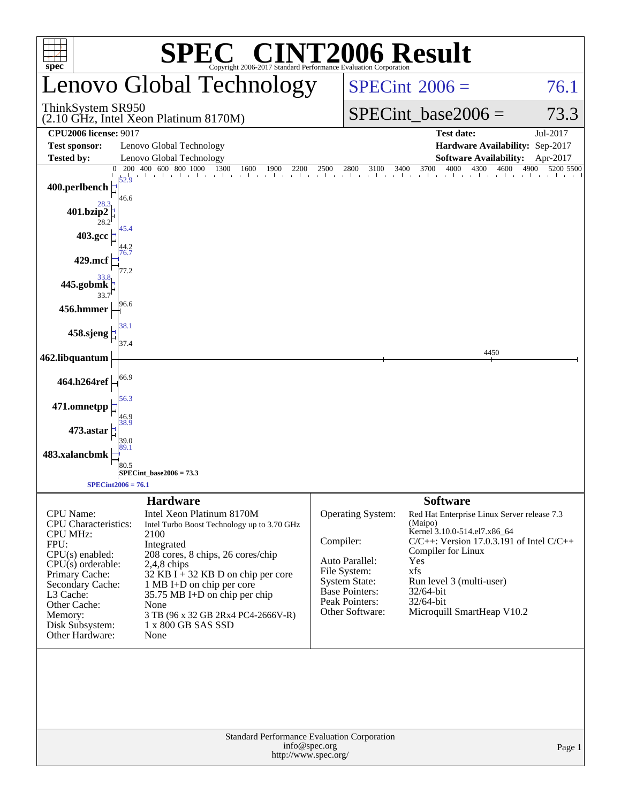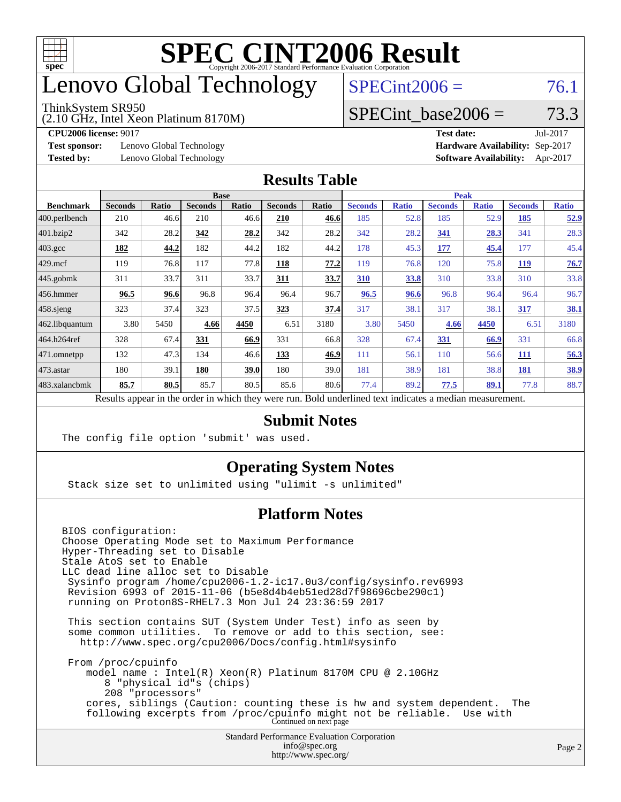

# enovo Global Technology

#### ThinkSystem SR950

(2.10 GHz, Intel Xeon Platinum 8170M)

**[Test sponsor:](http://www.spec.org/auto/cpu2006/Docs/result-fields.html#Testsponsor)** Lenovo Global Technology

 $SPECint2006 = 76.1$  $SPECint2006 = 76.1$ 

#### SPECint base2006 =  $73.3$

**[CPU2006 license:](http://www.spec.org/auto/cpu2006/Docs/result-fields.html#CPU2006license)** 9017 **[Test date:](http://www.spec.org/auto/cpu2006/Docs/result-fields.html#Testdate)** Jul-2017

**[Tested by:](http://www.spec.org/auto/cpu2006/Docs/result-fields.html#Testedby)** Lenovo Global Technology

| 1 CO GULO.<br><b>Hardware Availability: Sep-2017</b> | 1112211111 |
|------------------------------------------------------|------------|
| <b>Software Availability:</b> Apr-2017               |            |
|                                                      |            |

#### **[Results Table](http://www.spec.org/auto/cpu2006/Docs/result-fields.html#ResultsTable)**

|                  | <b>Base</b>    |       |                |       |                | <b>Peak</b> |                |              |                |              |                |              |
|------------------|----------------|-------|----------------|-------|----------------|-------------|----------------|--------------|----------------|--------------|----------------|--------------|
| <b>Benchmark</b> | <b>Seconds</b> | Ratio | <b>Seconds</b> | Ratio | <b>Seconds</b> | Ratio       | <b>Seconds</b> | <b>Ratio</b> | <b>Seconds</b> | <b>Ratio</b> | <b>Seconds</b> | <b>Ratio</b> |
| 400.perlbench    | 210            | 46.6  | 210            | 46.6  | 210            | 46.6        | 185            | 52.8         | 185            | 52.9         | 185            | 52.9         |
| 401.bzip2        | 342            | 28.2  | 342            | 28.2  | 342            | 28.2        | 342            | 28.2         | 341            | 28.3         | 341            | 28.3         |
| 403.gcc          | <u>182</u>     | 44.2  | 182            | 44.2  | 182            | 44.2        | 178            | 45.3         | <u> 177</u>    | 45.4         | 177            | 45.4         |
| $429$ .mcf       | 119            | 76.8  | 117            | 77.8  | 118            | 77.2        | 119            | 76.8         | 120            | 75.8         | 119            | 76.7         |
| $445$ .gobmk     | 311            | 33.7  | 311            | 33.7  | 311            | 33.7        | 310            | 33.8         | 310            | 33.8         | 310            | 33.8         |
| $ 456$ .hmmer    | 96.5           | 96.6  | 96.8           | 96.4  | 96.4           | 96.7        | 96.5           | 96.6         | 96.8           | 96.4         | 96.4           | 96.7         |
| $458$ .sjeng     | 323            | 37.4  | 323            | 37.5  | 323            | 37.4        | 317            | 38.1         | 317            | 38.1         | 317            | <b>38.1</b>  |
| 462.libquantum   | 3.80           | 5450  | 4.66           | 4450  | 6.51           | 3180        | 3.80           | 5450         | 4.66           | 4450         | 6.51           | 3180         |
| 464.h264ref      | 328            | 67.4  | 331            | 66.9  | 331            | 66.8        | 328            | 67.4         | 331            | 66.9         | 331            | 66.8         |
| 471.omnetpp      | 132            | 47.3  | 134            | 46.6  | 133            | 46.9        | 111            | 56.1         | 110            | 56.6         | 111            | 56.3         |
| $473$ . astar    | 180            | 39.1  | 180            | 39.0  | 180            | 39.0        | 181            | 38.9         | 181            | 38.8         | 181            | 38.9         |
| 483.xalancbmk    | 85.7           | 80.5  | 85.7           | 80.5  | 85.6           | 80.6        | 77.4           | 89.2         | 77.5           | <u>89.1</u>  | 77.8           | 88.7         |

Results appear in the [order in which they were run.](http://www.spec.org/auto/cpu2006/Docs/result-fields.html#RunOrder) Bold underlined text [indicates a median measurement.](http://www.spec.org/auto/cpu2006/Docs/result-fields.html#Median)

#### **[Submit Notes](http://www.spec.org/auto/cpu2006/Docs/result-fields.html#SubmitNotes)**

The config file option 'submit' was used.

#### **[Operating System Notes](http://www.spec.org/auto/cpu2006/Docs/result-fields.html#OperatingSystemNotes)**

Stack size set to unlimited using "ulimit -s unlimited"

#### **[Platform Notes](http://www.spec.org/auto/cpu2006/Docs/result-fields.html#PlatformNotes)**

Standard Performance Evaluation Corporation [info@spec.org](mailto:info@spec.org) BIOS configuration: Choose Operating Mode set to Maximum Performance Hyper-Threading set to Disable Stale AtoS set to Enable LLC dead line alloc set to Disable Sysinfo program /home/cpu2006-1.2-ic17.0u3/config/sysinfo.rev6993 Revision 6993 of 2015-11-06 (b5e8d4b4eb51ed28d7f98696cbe290c1) running on Proton8S-RHEL7.3 Mon Jul 24 23:36:59 2017 This section contains SUT (System Under Test) info as seen by some common utilities. To remove or add to this section, see: <http://www.spec.org/cpu2006/Docs/config.html#sysinfo> From /proc/cpuinfo model name : Intel(R) Xeon(R) Platinum 8170M CPU @ 2.10GHz 8 "physical id"s (chips) 208 "processors" cores, siblings (Caution: counting these is hw and system dependent. The following excerpts from /proc/cpuinfo might not be reliable. Use with Continued on next page

<http://www.spec.org/>

Page 2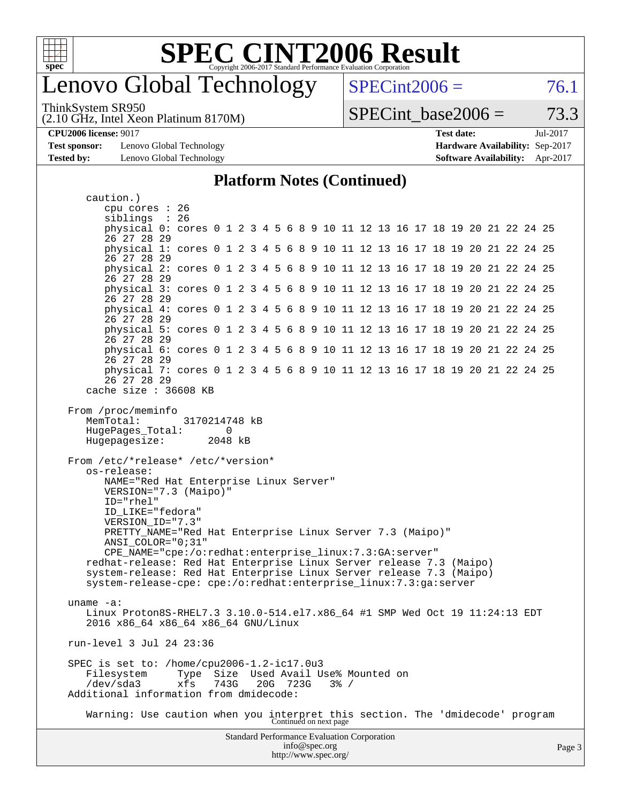

### enovo Global Technology

ThinkSystem SR950

(2.10 GHz, Intel Xeon Platinum 8170M)

 $SPECint2006 = 76.1$  $SPECint2006 = 76.1$ 

SPECint base2006 =  $73.3$ 

**[CPU2006 license:](http://www.spec.org/auto/cpu2006/Docs/result-fields.html#CPU2006license)** 9017 **[Test date:](http://www.spec.org/auto/cpu2006/Docs/result-fields.html#Testdate)** Jul-2017

**[Test sponsor:](http://www.spec.org/auto/cpu2006/Docs/result-fields.html#Testsponsor)** Lenovo Global Technology **[Hardware Availability:](http://www.spec.org/auto/cpu2006/Docs/result-fields.html#HardwareAvailability)** Sep-2017 **[Tested by:](http://www.spec.org/auto/cpu2006/Docs/result-fields.html#Testedby)** Lenovo Global Technology **[Software Availability:](http://www.spec.org/auto/cpu2006/Docs/result-fields.html#SoftwareAvailability)** Apr-2017

#### **[Platform Notes \(Continued\)](http://www.spec.org/auto/cpu2006/Docs/result-fields.html#PlatformNotes)**

Standard Performance Evaluation Corporation [info@spec.org](mailto:info@spec.org) caution.) cpu cores : 26 siblings : 26 physical 0: cores 0 1 2 3 4 5 6 8 9 10 11 12 13 16 17 18 19 20 21 22 24 25 26 27 28 29 physical 1: cores 0 1 2 3 4 5 6 8 9 10 11 12 13 16 17 18 19 20 21 22 24 25 26 27 28 29 physical 2: cores 0 1 2 3 4 5 6 8 9 10 11 12 13 16 17 18 19 20 21 22 24 25 26 27 28 29 physical 3: cores 0 1 2 3 4 5 6 8 9 10 11 12 13 16 17 18 19 20 21 22 24 25 26 27 28 29 physical 4: cores 0 1 2 3 4 5 6 8 9 10 11 12 13 16 17 18 19 20 21 22 24 25 26 27 28 29 physical 5: cores 0 1 2 3 4 5 6 8 9 10 11 12 13 16 17 18 19 20 21 22 24 25 26 27 28 29 physical 6: cores 0 1 2 3 4 5 6 8 9 10 11 12 13 16 17 18 19 20 21 22 24 25 26 27 28 29 physical 7: cores 0 1 2 3 4 5 6 8 9 10 11 12 13 16 17 18 19 20 21 22 24 25 26 27 28 29 cache size : 36608 KB From /proc/meminfo MemTotal: 3170214748 kB HugePages\_Total: 0 Hugepagesize: 2048 kB From /etc/\*release\* /etc/\*version\* os-release: NAME="Red Hat Enterprise Linux Server" VERSION="7.3 (Maipo)" ID="rhel" ID\_LIKE="fedora" VERSION\_ID="7.3" PRETTY\_NAME="Red Hat Enterprise Linux Server 7.3 (Maipo)" ANSI\_COLOR="0;31" CPE\_NAME="cpe:/o:redhat:enterprise\_linux:7.3:GA:server" redhat-release: Red Hat Enterprise Linux Server release 7.3 (Maipo) system-release: Red Hat Enterprise Linux Server release 7.3 (Maipo) system-release-cpe: cpe:/o:redhat:enterprise\_linux:7.3:ga:server uname -a: Linux Proton8S-RHEL7.3 3.10.0-514.el7.x86\_64 #1 SMP Wed Oct 19 11:24:13 EDT 2016 x86\_64 x86\_64 x86\_64 GNU/Linux run-level 3 Jul 24 23:36 SPEC is set to: /home/cpu2006-1.2-ic17.0u3 Filesystem Type Size Used Avail Use% Mounted on /dev/sda3 xfs 743G 20G 723G 3% / Additional information from dmidecode: Warning: Use caution when you interpret this section. The 'dmidecode' program Continued on next page

<http://www.spec.org/>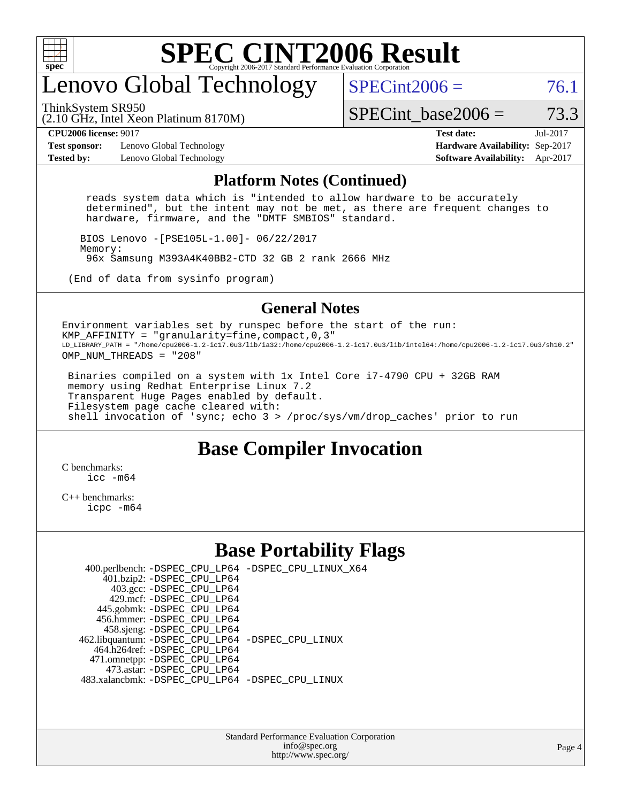

## enovo Global Technology

ThinkSystem SR950

 $SPECint2006 = 76.1$  $SPECint2006 = 76.1$ 

(2.10 GHz, Intel Xeon Platinum 8170M)

SPECint base2006 =  $73.3$ 

**[Test sponsor:](http://www.spec.org/auto/cpu2006/Docs/result-fields.html#Testsponsor)** Lenovo Global Technology **[Hardware Availability:](http://www.spec.org/auto/cpu2006/Docs/result-fields.html#HardwareAvailability)** Sep-2017 **[Tested by:](http://www.spec.org/auto/cpu2006/Docs/result-fields.html#Testedby)** Lenovo Global Technology **[Software Availability:](http://www.spec.org/auto/cpu2006/Docs/result-fields.html#SoftwareAvailability)** Apr-2017

**[CPU2006 license:](http://www.spec.org/auto/cpu2006/Docs/result-fields.html#CPU2006license)** 9017 **[Test date:](http://www.spec.org/auto/cpu2006/Docs/result-fields.html#Testdate)** Jul-2017

#### **[Platform Notes \(Continued\)](http://www.spec.org/auto/cpu2006/Docs/result-fields.html#PlatformNotes)**

 reads system data which is "intended to allow hardware to be accurately determined", but the intent may not be met, as there are frequent changes to hardware, firmware, and the "DMTF SMBIOS" standard.

 BIOS Lenovo -[PSE105L-1.00]- 06/22/2017 Memory: 96x Samsung M393A4K40BB2-CTD 32 GB 2 rank 2666 MHz

(End of data from sysinfo program)

#### **[General Notes](http://www.spec.org/auto/cpu2006/Docs/result-fields.html#GeneralNotes)**

Environment variables set by runspec before the start of the run: KMP AFFINITY = "granularity=fine, compact,  $0,3$ " LD\_LIBRARY\_PATH = "/home/cpu2006-1.2-ic17.0u3/lib/ia32:/home/cpu2006-1.2-ic17.0u3/lib/intel64:/home/cpu2006-1.2-ic17.0u3/sh10.2" OMP NUM THREADS = "208"

 Binaries compiled on a system with 1x Intel Core i7-4790 CPU + 32GB RAM memory using Redhat Enterprise Linux 7.2 Transparent Huge Pages enabled by default. Filesystem page cache cleared with: shell invocation of 'sync; echo 3 > /proc/sys/vm/drop\_caches' prior to run

#### **[Base Compiler Invocation](http://www.spec.org/auto/cpu2006/Docs/result-fields.html#BaseCompilerInvocation)**

[C benchmarks](http://www.spec.org/auto/cpu2006/Docs/result-fields.html#Cbenchmarks): icc  $-m64$ 

[C++ benchmarks:](http://www.spec.org/auto/cpu2006/Docs/result-fields.html#CXXbenchmarks) [icpc -m64](http://www.spec.org/cpu2006/results/res2017q4/cpu2006-20170917-49381.flags.html#user_CXXbase_intel_icpc_64bit_fc66a5337ce925472a5c54ad6a0de310)

#### **[Base Portability Flags](http://www.spec.org/auto/cpu2006/Docs/result-fields.html#BasePortabilityFlags)**

 400.perlbench: [-DSPEC\\_CPU\\_LP64](http://www.spec.org/cpu2006/results/res2017q4/cpu2006-20170917-49381.flags.html#b400.perlbench_basePORTABILITY_DSPEC_CPU_LP64) [-DSPEC\\_CPU\\_LINUX\\_X64](http://www.spec.org/cpu2006/results/res2017q4/cpu2006-20170917-49381.flags.html#b400.perlbench_baseCPORTABILITY_DSPEC_CPU_LINUX_X64) 401.bzip2: [-DSPEC\\_CPU\\_LP64](http://www.spec.org/cpu2006/results/res2017q4/cpu2006-20170917-49381.flags.html#suite_basePORTABILITY401_bzip2_DSPEC_CPU_LP64) 403.gcc: [-DSPEC\\_CPU\\_LP64](http://www.spec.org/cpu2006/results/res2017q4/cpu2006-20170917-49381.flags.html#suite_basePORTABILITY403_gcc_DSPEC_CPU_LP64) 429.mcf: [-DSPEC\\_CPU\\_LP64](http://www.spec.org/cpu2006/results/res2017q4/cpu2006-20170917-49381.flags.html#suite_basePORTABILITY429_mcf_DSPEC_CPU_LP64) 445.gobmk: [-DSPEC\\_CPU\\_LP64](http://www.spec.org/cpu2006/results/res2017q4/cpu2006-20170917-49381.flags.html#suite_basePORTABILITY445_gobmk_DSPEC_CPU_LP64) 456.hmmer: [-DSPEC\\_CPU\\_LP64](http://www.spec.org/cpu2006/results/res2017q4/cpu2006-20170917-49381.flags.html#suite_basePORTABILITY456_hmmer_DSPEC_CPU_LP64) 458.sjeng: [-DSPEC\\_CPU\\_LP64](http://www.spec.org/cpu2006/results/res2017q4/cpu2006-20170917-49381.flags.html#suite_basePORTABILITY458_sjeng_DSPEC_CPU_LP64) 462.libquantum: [-DSPEC\\_CPU\\_LP64](http://www.spec.org/cpu2006/results/res2017q4/cpu2006-20170917-49381.flags.html#suite_basePORTABILITY462_libquantum_DSPEC_CPU_LP64) [-DSPEC\\_CPU\\_LINUX](http://www.spec.org/cpu2006/results/res2017q4/cpu2006-20170917-49381.flags.html#b462.libquantum_baseCPORTABILITY_DSPEC_CPU_LINUX) 464.h264ref: [-DSPEC\\_CPU\\_LP64](http://www.spec.org/cpu2006/results/res2017q4/cpu2006-20170917-49381.flags.html#suite_basePORTABILITY464_h264ref_DSPEC_CPU_LP64) 471.omnetpp: [-DSPEC\\_CPU\\_LP64](http://www.spec.org/cpu2006/results/res2017q4/cpu2006-20170917-49381.flags.html#suite_basePORTABILITY471_omnetpp_DSPEC_CPU_LP64) 473.astar: [-DSPEC\\_CPU\\_LP64](http://www.spec.org/cpu2006/results/res2017q4/cpu2006-20170917-49381.flags.html#suite_basePORTABILITY473_astar_DSPEC_CPU_LP64) 483.xalancbmk: [-DSPEC\\_CPU\\_LP64](http://www.spec.org/cpu2006/results/res2017q4/cpu2006-20170917-49381.flags.html#suite_basePORTABILITY483_xalancbmk_DSPEC_CPU_LP64) [-DSPEC\\_CPU\\_LINUX](http://www.spec.org/cpu2006/results/res2017q4/cpu2006-20170917-49381.flags.html#b483.xalancbmk_baseCXXPORTABILITY_DSPEC_CPU_LINUX)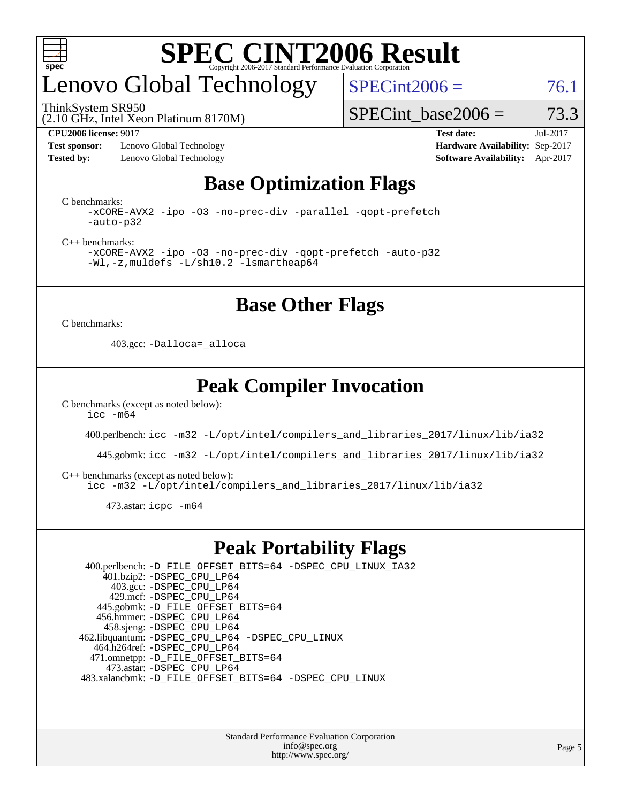

## enovo Global Technology

ThinkSystem SR950

 $SPECint2006 = 76.1$  $SPECint2006 = 76.1$ 

SPECint base2006 =  $73.3$ 

**[Test sponsor:](http://www.spec.org/auto/cpu2006/Docs/result-fields.html#Testsponsor)** Lenovo Global Technology **[Hardware Availability:](http://www.spec.org/auto/cpu2006/Docs/result-fields.html#HardwareAvailability)** Sep-2017 **[Tested by:](http://www.spec.org/auto/cpu2006/Docs/result-fields.html#Testedby)** Lenovo Global Technology **[Software Availability:](http://www.spec.org/auto/cpu2006/Docs/result-fields.html#SoftwareAvailability)** Apr-2017

(2.10 GHz, Intel Xeon Platinum 8170M)

**[CPU2006 license:](http://www.spec.org/auto/cpu2006/Docs/result-fields.html#CPU2006license)** 9017 **[Test date:](http://www.spec.org/auto/cpu2006/Docs/result-fields.html#Testdate)** Jul-2017

### **[Base Optimization Flags](http://www.spec.org/auto/cpu2006/Docs/result-fields.html#BaseOptimizationFlags)**

[C benchmarks](http://www.spec.org/auto/cpu2006/Docs/result-fields.html#Cbenchmarks):

[-xCORE-AVX2](http://www.spec.org/cpu2006/results/res2017q4/cpu2006-20170917-49381.flags.html#user_CCbase_f-xCORE-AVX2) [-ipo](http://www.spec.org/cpu2006/results/res2017q4/cpu2006-20170917-49381.flags.html#user_CCbase_f-ipo) [-O3](http://www.spec.org/cpu2006/results/res2017q4/cpu2006-20170917-49381.flags.html#user_CCbase_f-O3) [-no-prec-div](http://www.spec.org/cpu2006/results/res2017q4/cpu2006-20170917-49381.flags.html#user_CCbase_f-no-prec-div) [-parallel](http://www.spec.org/cpu2006/results/res2017q4/cpu2006-20170917-49381.flags.html#user_CCbase_f-parallel) [-qopt-prefetch](http://www.spec.org/cpu2006/results/res2017q4/cpu2006-20170917-49381.flags.html#user_CCbase_f-qopt-prefetch) [-auto-p32](http://www.spec.org/cpu2006/results/res2017q4/cpu2006-20170917-49381.flags.html#user_CCbase_f-auto-p32)

[C++ benchmarks:](http://www.spec.org/auto/cpu2006/Docs/result-fields.html#CXXbenchmarks)

[-xCORE-AVX2](http://www.spec.org/cpu2006/results/res2017q4/cpu2006-20170917-49381.flags.html#user_CXXbase_f-xCORE-AVX2) [-ipo](http://www.spec.org/cpu2006/results/res2017q4/cpu2006-20170917-49381.flags.html#user_CXXbase_f-ipo) [-O3](http://www.spec.org/cpu2006/results/res2017q4/cpu2006-20170917-49381.flags.html#user_CXXbase_f-O3) [-no-prec-div](http://www.spec.org/cpu2006/results/res2017q4/cpu2006-20170917-49381.flags.html#user_CXXbase_f-no-prec-div) [-qopt-prefetch](http://www.spec.org/cpu2006/results/res2017q4/cpu2006-20170917-49381.flags.html#user_CXXbase_f-qopt-prefetch) [-auto-p32](http://www.spec.org/cpu2006/results/res2017q4/cpu2006-20170917-49381.flags.html#user_CXXbase_f-auto-p32) [-Wl,-z,muldefs](http://www.spec.org/cpu2006/results/res2017q4/cpu2006-20170917-49381.flags.html#user_CXXbase_link_force_multiple1_74079c344b956b9658436fd1b6dd3a8a) [-L/sh10.2 -lsmartheap64](http://www.spec.org/cpu2006/results/res2017q4/cpu2006-20170917-49381.flags.html#user_CXXbase_SmartHeap64_63911d860fc08c15fa1d5bf319b9d8d5)

**[Base Other Flags](http://www.spec.org/auto/cpu2006/Docs/result-fields.html#BaseOtherFlags)**

[C benchmarks](http://www.spec.org/auto/cpu2006/Docs/result-fields.html#Cbenchmarks):

403.gcc: [-Dalloca=\\_alloca](http://www.spec.org/cpu2006/results/res2017q4/cpu2006-20170917-49381.flags.html#b403.gcc_baseEXTRA_CFLAGS_Dalloca_be3056838c12de2578596ca5467af7f3)

#### **[Peak Compiler Invocation](http://www.spec.org/auto/cpu2006/Docs/result-fields.html#PeakCompilerInvocation)**

[C benchmarks \(except as noted below\)](http://www.spec.org/auto/cpu2006/Docs/result-fields.html#Cbenchmarksexceptasnotedbelow):  $\text{icc}$   $-\text{m64}$ 

400.perlbench: [icc -m32 -L/opt/intel/compilers\\_and\\_libraries\\_2017/linux/lib/ia32](http://www.spec.org/cpu2006/results/res2017q4/cpu2006-20170917-49381.flags.html#user_peakCCLD400_perlbench_intel_icc_c29f3ff5a7ed067b11e4ec10a03f03ae)

445.gobmk: [icc -m32 -L/opt/intel/compilers\\_and\\_libraries\\_2017/linux/lib/ia32](http://www.spec.org/cpu2006/results/res2017q4/cpu2006-20170917-49381.flags.html#user_peakCCLD445_gobmk_intel_icc_c29f3ff5a7ed067b11e4ec10a03f03ae)

[C++ benchmarks \(except as noted below\):](http://www.spec.org/auto/cpu2006/Docs/result-fields.html#CXXbenchmarksexceptasnotedbelow)

[icc -m32 -L/opt/intel/compilers\\_and\\_libraries\\_2017/linux/lib/ia32](http://www.spec.org/cpu2006/results/res2017q4/cpu2006-20170917-49381.flags.html#user_CXXpeak_intel_icc_c29f3ff5a7ed067b11e4ec10a03f03ae)

473.astar: [icpc -m64](http://www.spec.org/cpu2006/results/res2017q4/cpu2006-20170917-49381.flags.html#user_peakCXXLD473_astar_intel_icpc_64bit_fc66a5337ce925472a5c54ad6a0de310)

#### **[Peak Portability Flags](http://www.spec.org/auto/cpu2006/Docs/result-fields.html#PeakPortabilityFlags)**

 400.perlbench: [-D\\_FILE\\_OFFSET\\_BITS=64](http://www.spec.org/cpu2006/results/res2017q4/cpu2006-20170917-49381.flags.html#user_peakPORTABILITY400_perlbench_file_offset_bits_64_438cf9856305ebd76870a2c6dc2689ab) [-DSPEC\\_CPU\\_LINUX\\_IA32](http://www.spec.org/cpu2006/results/res2017q4/cpu2006-20170917-49381.flags.html#b400.perlbench_peakCPORTABILITY_DSPEC_CPU_LINUX_IA32) 401.bzip2: [-DSPEC\\_CPU\\_LP64](http://www.spec.org/cpu2006/results/res2017q4/cpu2006-20170917-49381.flags.html#suite_peakPORTABILITY401_bzip2_DSPEC_CPU_LP64) 403.gcc: [-DSPEC\\_CPU\\_LP64](http://www.spec.org/cpu2006/results/res2017q4/cpu2006-20170917-49381.flags.html#suite_peakPORTABILITY403_gcc_DSPEC_CPU_LP64) 429.mcf: [-DSPEC\\_CPU\\_LP64](http://www.spec.org/cpu2006/results/res2017q4/cpu2006-20170917-49381.flags.html#suite_peakPORTABILITY429_mcf_DSPEC_CPU_LP64) 445.gobmk: [-D\\_FILE\\_OFFSET\\_BITS=64](http://www.spec.org/cpu2006/results/res2017q4/cpu2006-20170917-49381.flags.html#user_peakPORTABILITY445_gobmk_file_offset_bits_64_438cf9856305ebd76870a2c6dc2689ab) 456.hmmer: [-DSPEC\\_CPU\\_LP64](http://www.spec.org/cpu2006/results/res2017q4/cpu2006-20170917-49381.flags.html#suite_peakPORTABILITY456_hmmer_DSPEC_CPU_LP64) 458.sjeng: [-DSPEC\\_CPU\\_LP64](http://www.spec.org/cpu2006/results/res2017q4/cpu2006-20170917-49381.flags.html#suite_peakPORTABILITY458_sjeng_DSPEC_CPU_LP64) 462.libquantum: [-DSPEC\\_CPU\\_LP64](http://www.spec.org/cpu2006/results/res2017q4/cpu2006-20170917-49381.flags.html#suite_peakPORTABILITY462_libquantum_DSPEC_CPU_LP64) [-DSPEC\\_CPU\\_LINUX](http://www.spec.org/cpu2006/results/res2017q4/cpu2006-20170917-49381.flags.html#b462.libquantum_peakCPORTABILITY_DSPEC_CPU_LINUX) 464.h264ref: [-DSPEC\\_CPU\\_LP64](http://www.spec.org/cpu2006/results/res2017q4/cpu2006-20170917-49381.flags.html#suite_peakPORTABILITY464_h264ref_DSPEC_CPU_LP64) 471.omnetpp: [-D\\_FILE\\_OFFSET\\_BITS=64](http://www.spec.org/cpu2006/results/res2017q4/cpu2006-20170917-49381.flags.html#user_peakPORTABILITY471_omnetpp_file_offset_bits_64_438cf9856305ebd76870a2c6dc2689ab) 473.astar: [-DSPEC\\_CPU\\_LP64](http://www.spec.org/cpu2006/results/res2017q4/cpu2006-20170917-49381.flags.html#suite_peakPORTABILITY473_astar_DSPEC_CPU_LP64) 483.xalancbmk: [-D\\_FILE\\_OFFSET\\_BITS=64](http://www.spec.org/cpu2006/results/res2017q4/cpu2006-20170917-49381.flags.html#user_peakPORTABILITY483_xalancbmk_file_offset_bits_64_438cf9856305ebd76870a2c6dc2689ab) [-DSPEC\\_CPU\\_LINUX](http://www.spec.org/cpu2006/results/res2017q4/cpu2006-20170917-49381.flags.html#b483.xalancbmk_peakCXXPORTABILITY_DSPEC_CPU_LINUX)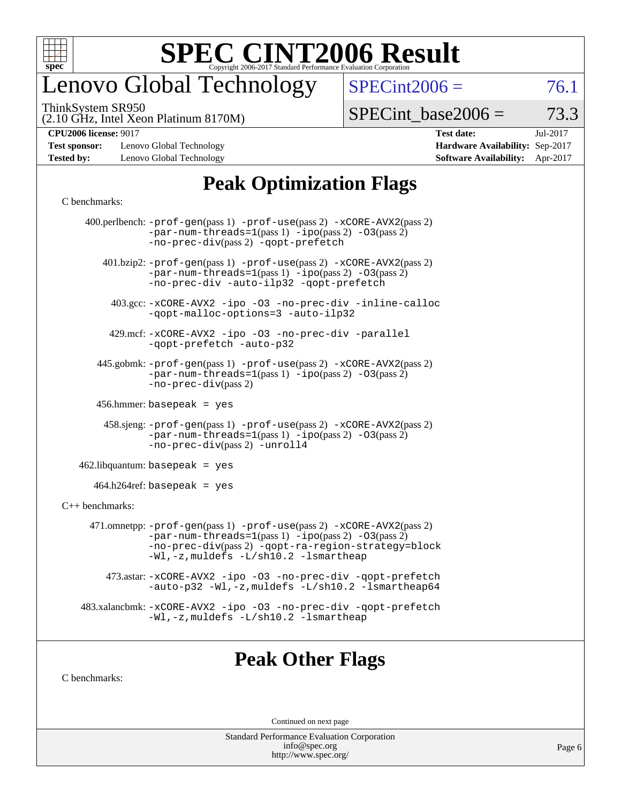

# enovo Global Technology

ThinkSystem SR950

 $SPECTnt2006 = 76.1$ 

(2.10 GHz, Intel Xeon Platinum 8170M)

 $SPECTnt\_base2006 = 73.3$ 

**[Test sponsor:](http://www.spec.org/auto/cpu2006/Docs/result-fields.html#Testsponsor)** Lenovo Global Technology **[Hardware Availability:](http://www.spec.org/auto/cpu2006/Docs/result-fields.html#HardwareAvailability)** Sep-2017 **[Tested by:](http://www.spec.org/auto/cpu2006/Docs/result-fields.html#Testedby)** Lenovo Global Technology **[Software Availability:](http://www.spec.org/auto/cpu2006/Docs/result-fields.html#SoftwareAvailability)** Apr-2017

**[CPU2006 license:](http://www.spec.org/auto/cpu2006/Docs/result-fields.html#CPU2006license)** 9017 **[Test date:](http://www.spec.org/auto/cpu2006/Docs/result-fields.html#Testdate)** Jul-2017

### **[Peak Optimization Flags](http://www.spec.org/auto/cpu2006/Docs/result-fields.html#PeakOptimizationFlags)**

#### [C benchmarks](http://www.spec.org/auto/cpu2006/Docs/result-fields.html#Cbenchmarks):

|                   | 400.perlbench: -prof-gen(pass 1) -prof-use(pass 2) -xCORE-AVX2(pass 2)<br>$-par-num-threads=1(pass 1) -ipo(pass 2) -03(pass 2)$<br>-no-prec-div(pass 2) -qopt-prefetch                                                              |
|-------------------|-------------------------------------------------------------------------------------------------------------------------------------------------------------------------------------------------------------------------------------|
|                   | $401 \text{.}$ bzip2: -prof-gen(pass 1) -prof-use(pass 2) -xCORE-AVX2(pass 2)<br>$-par-num-threads=1(pass 1) -ipo(pass 2) -03(pass 2)$<br>-no-prec-div -auto-ilp32 -qopt-prefetch                                                   |
|                   | 403.gcc: -xCORE-AVX2 -ipo -03 -no-prec-div -inline-calloc<br>-qopt-malloc-options=3 -auto-ilp32                                                                                                                                     |
|                   | 429.mcf: -xCORE-AVX2 -ipo -03 -no-prec-div -parallel<br>-gopt-prefetch -auto-p32                                                                                                                                                    |
|                   | 445.gobmk: -prof-gen(pass 1) -prof-use(pass 2) -xCORE-AVX2(pass 2)<br>$-par-num-threads=1(pass 1) -ipo(pass 2) -03(pass 2)$<br>-no-prec-div(pass 2)                                                                                 |
|                   | $456.$ hmmer: basepeak = yes                                                                                                                                                                                                        |
|                   | 458.sjeng: -prof-gen(pass 1) -prof-use(pass 2) -xCORE-AVX2(pass 2)<br>$-par-num-threads=1(pass 1) -ipo(pass 2) -03(pass 2)$<br>-no-prec-div(pass 2) -unroll4                                                                        |
|                   | $462$ .libquantum: basepeak = yes                                                                                                                                                                                                   |
|                   | $464.h264$ ref: basepeak = yes                                                                                                                                                                                                      |
| $C++$ benchmarks: |                                                                                                                                                                                                                                     |
|                   | 471.omnetpp: $-prof-gen(pass 1)$ $-prof-use(pass 2)$ $-xCORE-AVX2(pass 2)$<br>$-par-num-threads=1(pass 1) -ipo(pass 2) -03(pass 2)$<br>-no-prec-div(pass 2) -qopt-ra-region-strategy=block<br>-Wl,-z, muldefs -L/sh10.2 -lsmartheap |
|                   | 473.astar: -xCORE-AVX2 -ipo -03 -no-prec-div -qopt-prefetch<br>-auto-p32 -Wl,-z, muldefs -L/sh10.2 -lsmartheap64                                                                                                                    |
|                   | 483.xalancbmk: -xCORE-AVX2 -ipo -03 -no-prec-div -qopt-prefetch<br>$-Wl$ , -z, muldefs $-L/\nabla L$ . 2 -lsmartheap                                                                                                                |
|                   |                                                                                                                                                                                                                                     |

### **[Peak Other Flags](http://www.spec.org/auto/cpu2006/Docs/result-fields.html#PeakOtherFlags)**

[C benchmarks](http://www.spec.org/auto/cpu2006/Docs/result-fields.html#Cbenchmarks):

Continued on next page